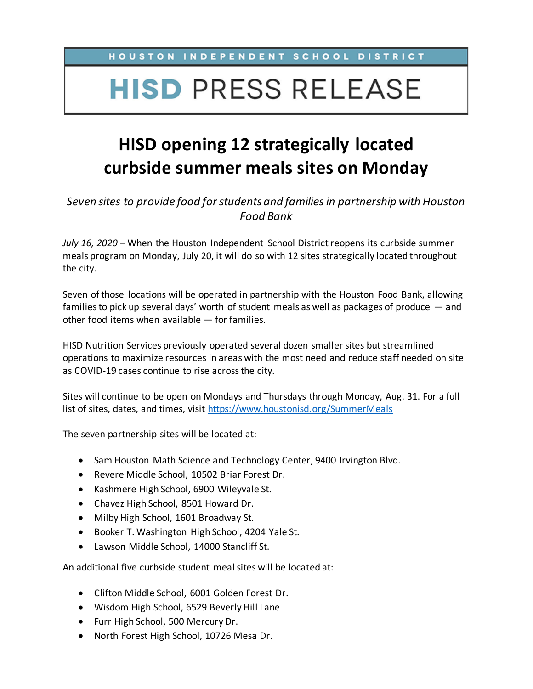## HOUSTON INDEPENDENT SCHOOL DISTRICT

## **HISD PRESS RELEASE**

## **HISD opening 12 strategically located curbside summer meals sites on Monday**

*Seven sites to provide food for students and families in partnership with Houston Food Bank*

*July 16, 2020* – When the Houston Independent School District reopens its curbside summer meals program on Monday, July 20, it will do so with 12 sites strategically located throughout the city.

Seven of those locations will be operated in partnership with the Houston Food Bank, allowing families to pick up several days' worth of student meals as well as packages of produce — and other food items when available — for families.

HISD Nutrition Services previously operated several dozen smaller sites but streamlined operations to maximize resources in areas with the most need and reduce staff needed on site as COVID-19 cases continue to rise across the city.

Sites will continue to be open on Mondays and Thursdays through Monday, Aug. 31. For a full list of sites, dates, and times, visit<https://www.houstonisd.org/SummerMeals>

The seven partnership sites will be located at:

- Sam Houston Math Science and Technology Center, 9400 Irvington Blvd.
- Revere Middle School, 10502 Briar Forest Dr.
- Kashmere High School, 6900 Wileyvale St.
- Chavez High School, 8501 Howard Dr.
- Milby High School, 1601 Broadway St.
- Booker T. Washington High School, 4204 Yale St.
- Lawson Middle School, 14000 Stancliff St.

An additional five curbside student meal sites will be located at:

- Clifton Middle School, 6001 Golden Forest Dr.
- Wisdom High School, 6529 Beverly Hill Lane
- Furr High School, 500 Mercury Dr.
- North Forest High School, 10726 Mesa Dr.